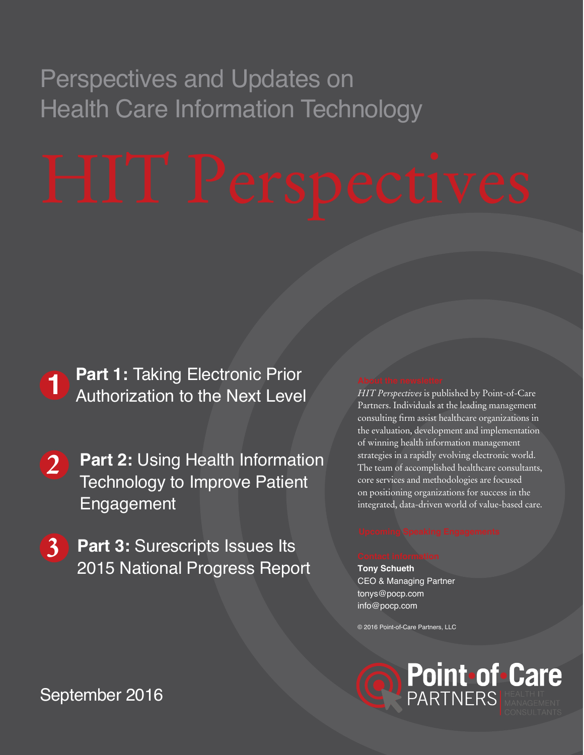# Perspectives and Updates on Health Care Information Technology

# **1** Part 1: Taking Electronic Prior<br> **1** Authorization to the Next Level Authorization to the Next Level

- **2 Part 2: Using Health Information** Technology to Improve Patient Engagement
- **3 Part 3: Surescripts Issues Its** 2015 National Progress Report

*HIT Perspectives* is published by Point-of-Care Partners. Individuals at the leading management consulting firm assist healthcare organizations in the evaluation, development and implementation of winning health information management strategies in a rapidly evolving electronic world. The team of accomplished healthcare consultants, core services and methodologies are focused on positioning organizations for success in the integrated, data-driven world of value-based care.

## **Tony Schueth** CEO & Managing Partner tonys@pocp.com

info@pocp.com

© 2016 Point-of-Care Partners, LLC



# September 2016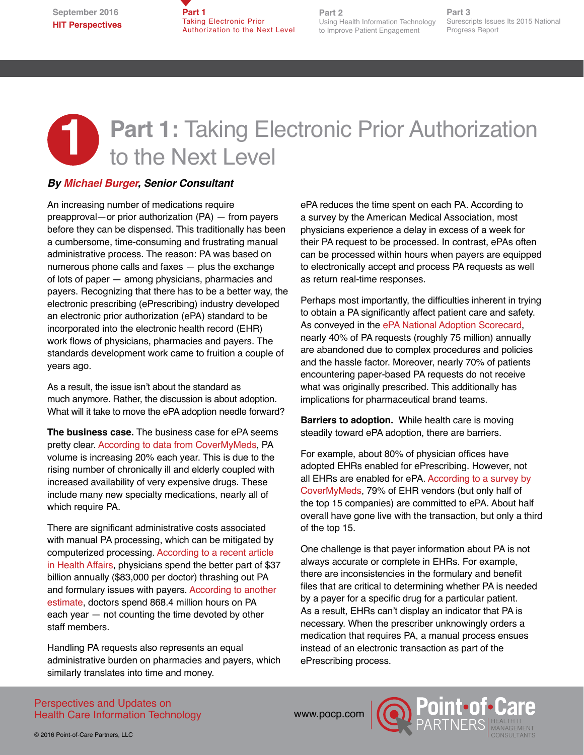**Part 1**  Taking Electronic Prior Authorization to the Next Level

**Part 2** Using Health Information Technology to Improve Patient Engagement

**Part 3** Surescripts Issues Its 2015 National Progress Report

# **1** Part 1: Taking Electronic Prior Authorization<br>to the Next Level to the Next Level

### *By [Michael Burger,](http://www.pocp.com/michael_burger.html) Senior Consultant*

An increasing number of medications require preapproval—or prior authorization (PA) — from payers before they can be dispensed. This traditionally has been a cumbersome, time-consuming and frustrating manual administrative process. The reason: PA was based on numerous phone calls and faxes — plus the exchange of lots of paper — among physicians, pharmacies and payers. Recognizing that there has to be a better way, the electronic prescribing (ePrescribing) industry developed an electronic prior authorization (ePA) standard to be incorporated into the electronic health record (EHR) work flows of physicians, pharmacies and payers. The standards development work came to fruition a couple of years ago.

As a result, the issue isn't about the standard as much anymore. Rather, the discussion is about adoption. What will it take to move the ePA adoption needle forward?

**The business case.** The business case for ePA seems pretty clear. [According to data from CoverMyMeds,](https://epascorecard.covermymeds.com/) PA volume is increasing 20% each year. This is due to the rising number of chronically ill and elderly coupled with increased availability of very expensive drugs. These include many new specialty medications, nearly all of which require PA.

There are significant administrative costs associated with manual PA processing, which can be mitigated by computerized processing. [According to a recent article](http://content.healthaffairs.org/content/30/8/1443.abstract)  [in Health Affairs,](http://content.healthaffairs.org/content/30/8/1443.abstract) physicians spend the better part of \$37 billion annually (\$83,000 per doctor) thrashing out PA and formulary issues with payers. [According to another](http://medicaleconomics.modernmedicine.com/medical-economics/content/tags/insurance-companies/prior-authorization-predicament?page=full)  [estimate,](http://medicaleconomics.modernmedicine.com/medical-economics/content/tags/insurance-companies/prior-authorization-predicament?page=full) doctors spend 868.4 million hours on PA each year — not counting the time devoted by other staff members.

Handling PA requests also represents an equal administrative burden on pharmacies and payers, which similarly translates into time and money.

ePA reduces the time spent on each PA. According to a survey by the American Medical Association, most physicians experience a delay in excess of a week for their PA request to be processed. In contrast, ePAs often can be processed within hours when payers are equipped to electronically accept and process PA requests as well as return real-time responses.

Perhaps most importantly, the difficulties inherent in trying to obtain a PA significantly affect patient care and safety. As conveyed in the [ePA National Adoption Scorecard](https://epascorecard.covermymeds.com/), nearly 40% of PA requests (roughly 75 million) annually are abandoned due to complex procedures and policies and the hassle factor. Moreover, nearly 70% of patients encountering paper-based PA requests do not receive what was originally prescribed. This additionally has implications for pharmaceutical brand teams.

**Barriers to adoption.** While health care is moving steadily toward ePA adoption, there are barriers.

For example, about 80% of physician offices have adopted EHRs enabled for ePrescribing. However, not all EHRs are enabled for ePA. [According to a survey by](https://www.covermymeds.com/main/)  [CoverMyMeds](https://www.covermymeds.com/main/), 79% of EHR vendors (but only half of the top 15 companies) are committed to ePA. About half overall have gone live with the transaction, but only a third of the top 15.

One challenge is that payer information about PA is not always accurate or complete in EHRs. For example, there are inconsistencies in the formulary and benefit files that are critical to determining whether PA is needed by a payer for a specific drug for a particular patient. As a result, EHRs can't display an indicator that PA is necessary. When the prescriber unknowingly orders a medication that requires PA, a manual process ensues instead of an electronic transaction as part of the ePrescribing process.

Perspectives and Updates on Health Care Information Technology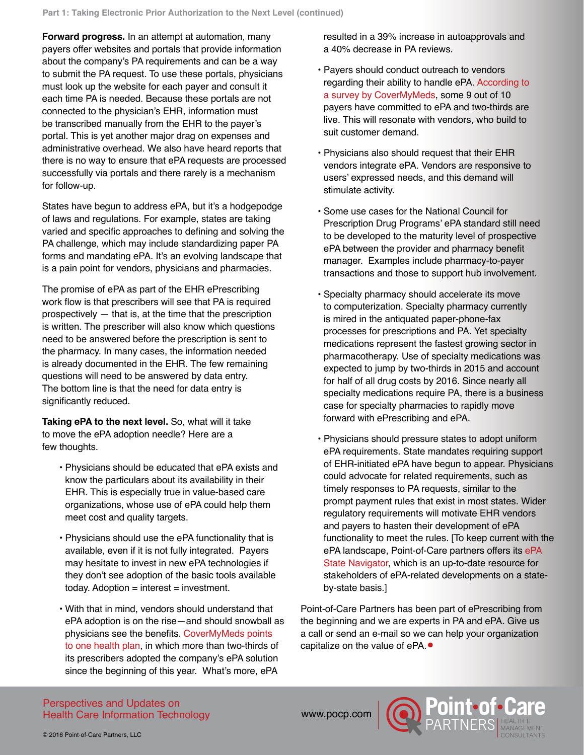**Forward progress.** In an attempt at automation, many payers offer websites and portals that provide information about the company's PA requirements and can be a way to submit the PA request. To use these portals, physicians must look up the website for each payer and consult it each time PA is needed. Because these portals are not connected to the physician's EHR, information must be transcribed manually from the EHR to the payer's portal. This is yet another major drag on expenses and administrative overhead. We also have heard reports that there is no way to ensure that ePA requests are processed successfully via portals and there rarely is a mechanism for follow-up.

States have begun to address ePA, but it's a hodgepodge of laws and regulations. For example, states are taking varied and specific approaches to defining and solving the PA challenge, which may include standardizing paper PA forms and mandating ePA. It's an evolving landscape that is a pain point for vendors, physicians and pharmacies.

The promise of ePA as part of the EHR ePrescribing work flow is that prescribers will see that PA is required prospectively — that is, at the time that the prescription is written. The prescriber will also know which questions need to be answered before the prescription is sent to the pharmacy. In many cases, the information needed is already documented in the EHR. The few remaining questions will need to be answered by data entry. The bottom line is that the need for data entry is significantly reduced.

**Taking ePA to the next level.** So, what will it take to move the ePA adoption needle? Here are a few thoughts.

- Physicians should be educated that ePA exists and know the particulars about its availability in their EHR. This is especially true in value-based care organizations, whose use of ePA could help them meet cost and quality targets.
- Physicians should use the ePA functionality that is available, even if it is not fully integrated. Payers may hesitate to invest in new ePA technologies if they don't see adoption of the basic tools available today. Adoption  $=$  interest  $=$  investment.
- With that in mind, vendors should understand that ePA adoption is on the rise—and should snowball as physicians see the benefits. [CoverMyMeds points](https://epascorecard.covermymeds.com/)  [to one health plan,](https://epascorecard.covermymeds.com/) in which more than two-thirds of its prescribers adopted the company's ePA solution since the beginning of this year. What's more, ePA

resulted in a 39% increase in autoapprovals and a 40% decrease in PA reviews.

- Payers should conduct outreach to vendors regarding their ability to handle ePA. [According to](https://epascorecard.covermymeds.com/#auto)  [a survey by CoverMyMeds,](https://epascorecard.covermymeds.com/#auto) some 9 out of 10 payers have committed to ePA and two-thirds are live. This will resonate with vendors, who build to suit customer demand.
- Physicians also should request that their EHR vendors integrate ePA. Vendors are responsive to users' expressed needs, and this demand will stimulate activity.
- Some use cases for the National Council for Prescription Drug Programs' ePA standard still need to be developed to the maturity level of prospective ePA between the provider and pharmacy benefit manager. Examples include pharmacy-to-payer transactions and those to support hub involvement.
- Specialty pharmacy should accelerate its move to computerization. Specialty pharmacy currently is mired in the antiquated paper-phone-fax processes for prescriptions and PA. Yet specialty medications represent the fastest growing sector in pharmacotherapy. Use of specialty medications was expected to jump by two-thirds in 2015 and account for half of all drug costs by 2016. Since nearly all specialty medications require PA, there is a business case for specialty pharmacies to rapidly move forward with ePrescribing and ePA.
- Physicians should pressure states to adopt uniform ePA requirements. State mandates requiring support of EHR-initiated ePA have begun to appear. Physicians could advocate for related requirements, such as timely responses to PA requests, similar to the prompt payment rules that exist in most states. Wider regulatory requirements will motivate EHR vendors and payers to hasten their development of ePA functionality to meet the rules. [To keep current with the ePA landscape, Point-of-Care partners offers its [ePA](http://www.pocp.com/ePriorAuth_State_Navigator_Final.pdf)  [State Navigator](http://www.pocp.com/ePriorAuth_State_Navigator_Final.pdf), which is an up-to-date resource for stakeholders of ePA-related developments on a stateby-state basis.]

Point-of-Care Partners has been part of ePrescribing from the beginning and we are experts in PA and ePA. Give us a call or send an e-mail so we can help your organization capitalize on the value of ePA. •

Perspectives and Updates on Health Care Information Technology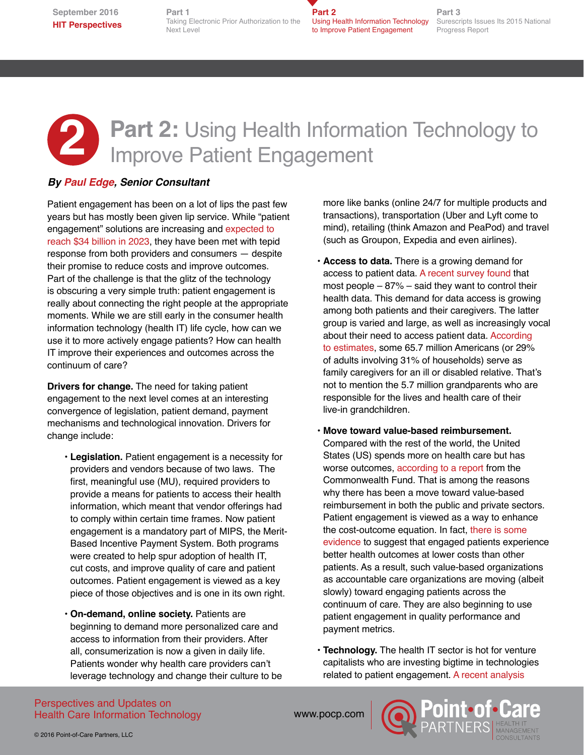**September 2016 HIT Perspectives** **Part 1** Taking Electronic Prior Authorization to the Next Level

**Part 2** Using Health Information Technology to Improve Patient Engagement

**Part 3** Surescripts Issues Its 2015 National Progress Report

## **2 Part 2: Using Health Information Technology to** Improve Patient Engagement

### *By [Paul Edge,](http://www.pocp.com/paul_edge.html) Senior Consultant*

Patient engagement has been on a lot of lips the past few years but has mostly been given lip service. While "patient engagement" solutions are increasing and [expected to](https://www.marketresearchengine.com/reportdetails/patient-engagement-solutions-market)  [reach \\$34 billion in 2023,](https://www.marketresearchengine.com/reportdetails/patient-engagement-solutions-market) they have been met with tepid response from both providers and consumers — despite their promise to reduce costs and improve outcomes. Part of the challenge is that the glitz of the technology is obscuring a very simple truth: patient engagement is really about connecting the right people at the appropriate moments. While we are still early in the consumer health information technology (health IT) life cycle, how can we use it to more actively engage patients? How can health IT improve their experiences and outcomes across the continuum of care?

**Drivers for change.** The need for taking patient engagement to the next level comes at an interesting convergence of legislation, patient demand, payment mechanisms and technological innovation. Drivers for change include:

- **Legislation.** Patient engagement is a necessity for providers and vendors because of two laws. The first, meaningful use (MU), required providers to provide a means for patients to access their health information, which meant that vendor offerings had to comply within certain time frames. Now patient engagement is a mandatory part of MIPS, the Merit-Based Incentive Payment System. Both programs were created to help spur adoption of health IT, cut costs, and improve quality of care and patient outcomes. Patient engagement is viewed as a key piece of those objectives and is one in its own right.
- **On-demand, online society.** Patients are beginning to demand more personalized care and access to information from their providers. After all, consumerization is now a given in daily life. Patients wonder why health care providers can't leverage technology and change their culture to be

more like banks (online 24/7 for multiple products and transactions), transportation (Uber and Lyft come to mind), retailing (think Amazon and PeaPod) and travel (such as Groupon, Expedia and even airlines).

- **Access to data.** There is a growing demand for access to patient data. [A recent survey found](https://www.accenture.com/us-en/insight-electronic-medical-record-benefits-outweigh-summary) that most people  $-87%$  – said they want to control their health data. This demand for data access is growing among both patients and their caregivers. The latter group is varied and large, as well as increasingly vocal about their need to access patient data. [According](http://www.apa.org/pi/about/publications/caregivers/faq/statistics.aspx)  [to estimates](http://www.apa.org/pi/about/publications/caregivers/faq/statistics.aspx), some 65.7 million Americans (or 29% of adults involving 31% of households) serve as family caregivers for an ill or disabled relative. That's not to mention the 5.7 million grandparents who are responsible for the lives and health care of their live-in grandchildren.
- **Move toward value-based reimbursement.** Compared with the rest of the world, the United States (US) spends more on health care but has worse outcomes, [according to a report](http://www.commonwealthfund.org/publications/issue-briefs/2015/oct/us-health-care-from-a-global-perspective) from the Commonwealth Fund. That is among the reasons why there has been a move toward value-based reimbursement in both the public and private sectors. Patient engagement is viewed as a way to enhance the cost-outcome equation. In fact, [there is some](http://www.healthaffairs.org/healthpolicybriefs/brief.php?brief_id=86)  [evidence](http://www.healthaffairs.org/healthpolicybriefs/brief.php?brief_id=86) to suggest that engaged patients experience better health outcomes at lower costs than other patients. As a result, such value-based organizations as accountable care organizations are moving (albeit slowly) toward engaging patients across the continuum of care. They are also beginning to use patient engagement in quality performance and payment metrics.
- **Technology.** The health IT sector is hot for venture capitalists who are investing bigtime in technologies related to patient engagement. [A recent analysis](http://medcitynews.com/2016/08/china-and-u-s-health-it-investment-trends/)

Perspectives and Updates on Health Care Information Technology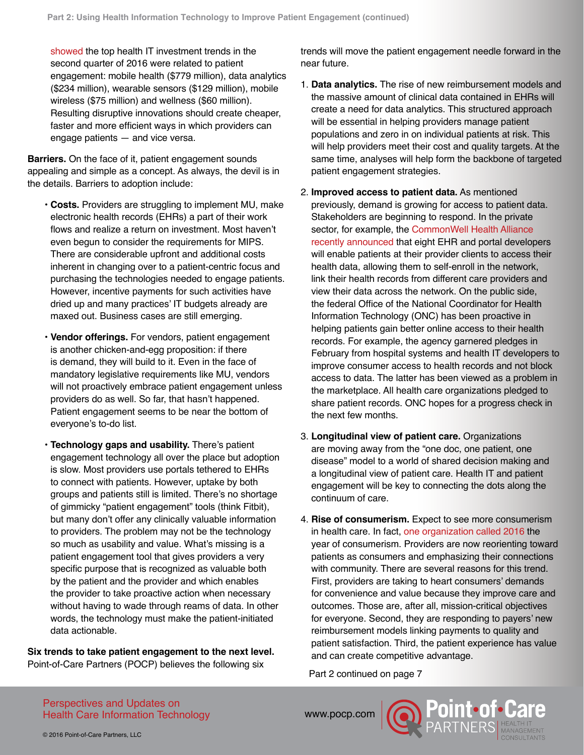[showed](http://medcitynews.com/2016/08/china-and-u-s-health-it-investment-trends/) the top health IT investment trends in the second quarter of 2016 were related to patient engagement: mobile health (\$779 million), data analytics (\$234 million), wearable sensors (\$129 million), mobile wireless (\$75 million) and wellness (\$60 million). Resulting disruptive innovations should create cheaper, faster and more efficient ways in which providers can engage patients — and vice versa.

**Barriers.** On the face of it, patient engagement sounds appealing and simple as a concept. As always, the devil is in the details. Barriers to adoption include:

- **Costs.** Providers are struggling to implement MU, make electronic health records (EHRs) a part of their work flows and realize a return on investment. Most haven't even begun to consider the requirements for MIPS. There are considerable upfront and additional costs inherent in changing over to a patient-centric focus and purchasing the technologies needed to engage patients. However, incentive payments for such activities have dried up and many practices' IT budgets already are maxed out. Business cases are still emerging.
- **Vendor offerings.** For vendors, patient engagement is another chicken-and-egg proposition: if there is demand, they will build to it. Even in the face of mandatory legislative requirements like MU, vendors will not proactively embrace patient engagement unless providers do as well. So far, that hasn't happened. Patient engagement seems to be near the bottom of everyone's to-do list.
- **Technology gaps and usability.** There's patient engagement technology all over the place but adoption is slow. Most providers use portals tethered to EHRs to connect with patients. However, uptake by both groups and patients still is limited. There's no shortage of gimmicky "patient engagement" tools (think Fitbit), but many don't offer any clinically valuable information to providers. The problem may not be the technology so much as usability and value. What's missing is a patient engagement tool that gives providers a very specific purpose that is recognized as valuable both by the patient and the provider and which enables the provider to take proactive action when necessary without having to wade through reams of data. In other words, the technology must make the patient-initiated data actionable.

**Six trends to take patient engagement to the next level.**  Point-of-Care Partners (POCP) believes the following six

trends will move the patient engagement needle forward in the near future.

- 1. **Data analytics.** The rise of new reimbursement models and the massive amount of clinical data contained in EHRs will create a need for data analytics. This structured approach will be essential in helping providers manage patient populations and zero in on individual patients at risk. This will help providers meet their cost and quality targets. At the same time, analyses will help form the backbone of targeted patient engagement strategies.
- 2. **Improved access to patient data.** As mentioned previously, demand is growing for access to patient data. Stakeholders are beginning to respond. In the private sector, for example, the CommonWell Health Alliance [recently announced](http://www.healthcareitnews.com/news/commonwell-health-alliance-open-access-patient-data) that eight EHR and portal developers will enable patients at their provider clients to access their health data, allowing them to self-enroll in the network, link their health records from different care providers and view their data across the network. On the public side, the federal Office of the National Coordinator for Health Information Technology (ONC) has been proactive in helping patients gain better online access to their health records. For example, the agency garnered pledges in February from hospital systems and health IT developers to improve consumer access to health records and not block access to data. The latter has been viewed as a problem in the marketplace. All health care organizations pledged to share patient records. ONC hopes for a progress check in the next few months.
- 3. **Longitudinal view of patient care.** Organizations are moving away from the "one doc, one patient, one disease" model to a world of shared decision making and a longitudinal view of patient care. Health IT and patient engagement will be key to connecting the dots along the continuum of care.
- 4. **Rise of consumerism.** Expect to see more consumerism in health care. In fact, [one organization called 2016](http://www.healthcarefinancenews.com/news/2016-year-consumerism-healthcare-providers-rush-adapt) the year of consumerism. Providers are now reorienting toward patients as consumers and emphasizing their connections with community. There are several reasons for this trend. First, providers are taking to heart consumers' demands for convenience and value because they improve care and outcomes. Those are, after all, mission-critical objectives for everyone. Second, they are responding to payers' new reimbursement models linking payments to quality and patient satisfaction. Third, the patient experience has value and can create competitive advantage.

Part 2 continued on page 7

Perspectives and Updates on Health Care Information Technology

WWW.pocp.com **(C) POINT.OT.**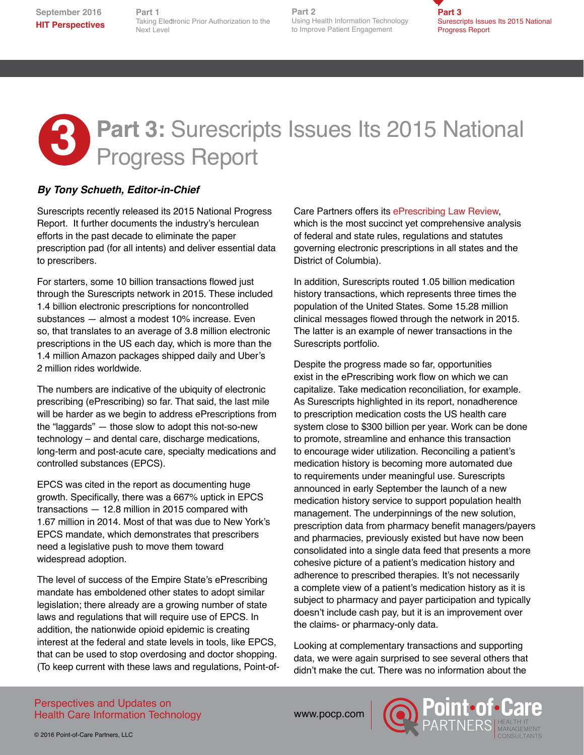**HIT Perspectives** Taking Electronic Prior Authorization to the **Part 1** Next Level

**Part 2 Part 2** Using Health Information Technology to Improve Patient Engagement



# **3** Part 3: Surescripts Issues Its 2015 National Progress Report

### *By Tony Schueth, Editor-in-Chief*

Surescripts recently released its 2015 National Progress Report. It further documents the industry's herculean efforts in the past decade to eliminate the paper prescription pad (for all intents) and deliver essential data to prescribers.

For starters, some 10 billion transactions flowed just through the Surescripts network in 2015. These included 1.4 billion electronic prescriptions for noncontrolled substances — almost a modest 10% increase. Even so, that translates to an average of 3.8 million electronic prescriptions in the US each day, which is more than the 1.4 million Amazon packages shipped daily and Uber's 2 million rides worldwide.

The numbers are indicative of the ubiquity of electronic prescribing (ePrescribing) so far. That said, the last mile will be harder as we begin to address ePrescriptions from the "laggards" — those slow to adopt this not-so-new technology – and dental care, discharge medications, long-term and post-acute care, specialty medications and controlled substances (EPCS).

EPCS was cited in the report as documenting huge growth. Specifically, there was a 667% uptick in EPCS transactions — 12.8 million in 2015 compared with 1.67 million in 2014. Most of that was due to New York's EPCS mandate, which demonstrates that prescribers need a legislative push to move them toward widespread adoption.

The level of success of the Empire State's ePrescribing mandate has emboldened other states to adopt similar legislation; there already are a growing number of state laws and regulations that will require use of EPCS. In addition, the nationwide opioid epidemic is creating interest at the federal and state levels in tools, like EPCS, that can be used to stop overdosing and doctor shopping. (To keep current with these laws and regulations, Point-ofCare Partners offers its [ePrescribing Law Review,](http://www.pocp.com/statelawreview.html#.V8cf8pgrKUk) which is the most succinct yet comprehensive analysis of federal and state rules, regulations and statutes governing electronic prescriptions in all states and the District of Columbia).

In addition, Surescripts routed 1.05 billion medication history transactions, which represents three times the population of the United States. Some 15.28 million clinical messages flowed through the network in 2015. The latter is an example of newer transactions in the Surescripts portfolio.

Despite the progress made so far, opportunities exist in the ePrescribing work flow on which we can capitalize. Take medication reconciliation, for example. As Surescripts highlighted in its report, nonadherence to prescription medication costs the US health care system close to \$300 billion per year. Work can be done to promote, streamline and enhance this transaction to encourage wider utilization. Reconciling a patient's medication history is becoming more automated due to requirements under meaningful use. Surescripts announced in early September the launch of a new medication history service to support population health management. The underpinnings of the new solution, prescription data from pharmacy benefit managers/payers and pharmacies, previously existed but have now been consolidated into a single data feed that presents a more cohesive picture of a patient's medication history and adherence to prescribed therapies. It's not necessarily a complete view of a patient's medication history as it is subject to pharmacy and payer participation and typically doesn't include cash pay, but it is an improvement over the claims- or pharmacy-only data.

Looking at complementary transactions and supporting data, we were again surprised to see several others that didn't make the cut. There was no information about the

#### Perspectives and Updates on Health Care Information Technology